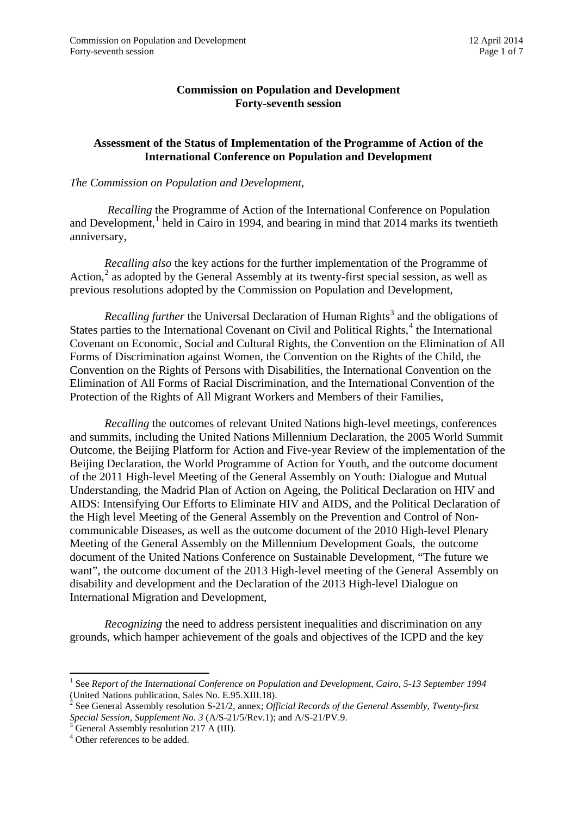## **Commission on Population and Development Forty-seventh session**

## **Assessment of the Status of Implementation of the Programme of Action of the International Conference on Population and Development**

## *The Commission on Population and Development,*

*Recalling* the Programme of Action of the International Conference on Population and Development, $<sup>1</sup>$  $<sup>1</sup>$  $<sup>1</sup>$  held in Cairo in 1994, and bearing in mind that 2014 marks its twentieth</sup> anniversary,

*Recalling also* the key actions for the further implementation of the Programme of Action,<sup>[2](#page-0-1)</sup> as adopted by the General Assembly at its twenty-first special session, as well as previous resolutions adopted by the Commission on Population and Development,

*Recalling further* the Universal Declaration of Human Rights<sup>[3](#page-0-2)</sup> and the obligations of States parties to the International Covenant on Civil and Political Rights, $<sup>4</sup>$  $<sup>4</sup>$  $<sup>4</sup>$  the International</sup> Covenant on Economic, Social and Cultural Rights, the Convention on the Elimination of All Forms of Discrimination against Women, the Convention on the Rights of the Child, the Convention on the Rights of Persons with Disabilities, the International Convention on the Elimination of All Forms of Racial Discrimination, and the International Convention of the Protection of the Rights of All Migrant Workers and Members of their Families,

*Recalling* the outcomes of relevant United Nations high-level meetings, conferences and summits, including the United Nations Millennium Declaration, the 2005 World Summit Outcome, the Beijing Platform for Action and Five-year Review of the implementation of the Beijing Declaration, the World Programme of Action for Youth, and the outcome document of the 2011 High-level Meeting of the General Assembly on Youth: Dialogue and Mutual Understanding, the Madrid Plan of Action on Ageing, the Political Declaration on HIV and AIDS: Intensifying Our Efforts to Eliminate HIV and AIDS, and the Political Declaration of the High level Meeting of the General Assembly on the Prevention and Control of Noncommunicable Diseases, as well as the outcome document of the 2010 High-level Plenary Meeting of the General Assembly on the Millennium Development Goals, the outcome document of the United Nations Conference on Sustainable Development, "The future we want", the outcome document of the 2013 High-level meeting of the General Assembly on disability and development and the Declaration of the 2013 High-level Dialogue on International Migration and Development,

*Recognizing* the need to address persistent inequalities and discrimination on any grounds, which hamper achievement of the goals and objectives of the ICPD and the key

**.** 

<span id="page-0-0"></span><sup>1</sup> See *Report of the International Conference on Population and Development, Cairo, 5-13 September 1994*  (United Nations publication, Sales No. E.95.XIII.18).

<span id="page-0-1"></span><sup>2</sup> See General Assembly resolution S-21/2, annex; *Official Records of the General Assembly, Twenty-first Special Session, Supplement No. 3 (A/S-21/5/Rev.1)*; and A/S-21/PV.9.<br><sup>3</sup> General Assembly resolution 217 A (III).<br><sup>4</sup> Other references to be added.

<span id="page-0-3"></span><span id="page-0-2"></span>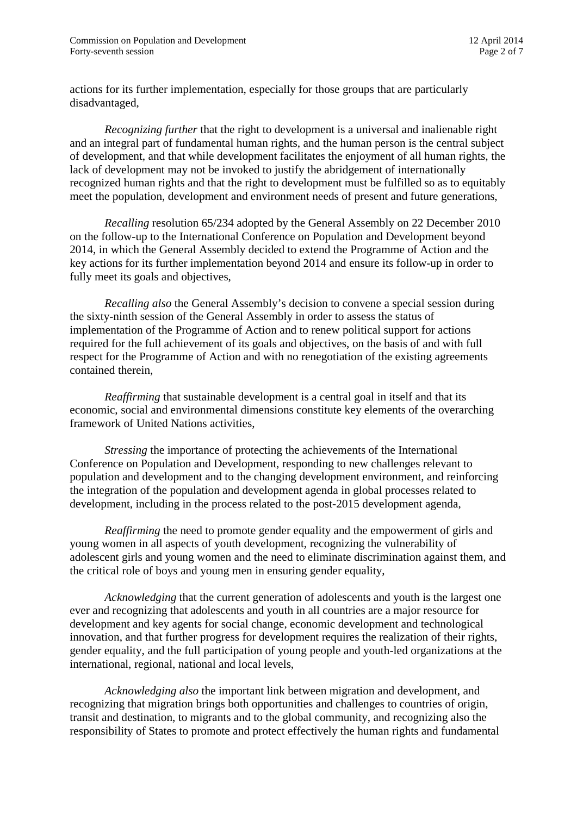actions for its further implementation, especially for those groups that are particularly disadvantaged,

*Recognizing further* that the right to development is a universal and inalienable right and an integral part of fundamental human rights, and the human person is the central subject of development, and that while development facilitates the enjoyment of all human rights, the lack of development may not be invoked to justify the abridgement of internationally recognized human rights and that the right to development must be fulfilled so as to equitably meet the population, development and environment needs of present and future generations,

*Recalling* resolution 65/234 adopted by the General Assembly on 22 December 2010 on the follow-up to the International Conference on Population and Development beyond 2014, in which the General Assembly decided to extend the Programme of Action and the key actions for its further implementation beyond 2014 and ensure its follow-up in order to fully meet its goals and objectives,

*Recalling also* the General Assembly's decision to convene a special session during the sixty-ninth session of the General Assembly in order to assess the status of implementation of the Programme of Action and to renew political support for actions required for the full achievement of its goals and objectives, on the basis of and with full respect for the Programme of Action and with no renegotiation of the existing agreements contained therein,

*Reaffirming* that sustainable development is a central goal in itself and that its economic, social and environmental dimensions constitute key elements of the overarching framework of United Nations activities,

*Stressing* the importance of protecting the achievements of the International Conference on Population and Development, responding to new challenges relevant to population and development and to the changing development environment, and reinforcing the integration of the population and development agenda in global processes related to development, including in the process related to the post-2015 development agenda,

*Reaffirming* the need to promote gender equality and the empowerment of girls and young women in all aspects of youth development, recognizing the vulnerability of adolescent girls and young women and the need to eliminate discrimination against them, and the critical role of boys and young men in ensuring gender equality,

*Acknowledging* that the current generation of adolescents and youth is the largest one ever and recognizing that adolescents and youth in all countries are a major resource for development and key agents for social change, economic development and technological innovation, and that further progress for development requires the realization of their rights, gender equality, and the full participation of young people and youth-led organizations at the international, regional, national and local levels,

*Acknowledging also* the important link between migration and development, and recognizing that migration brings both opportunities and challenges to countries of origin, transit and destination, to migrants and to the global community, and recognizing also the responsibility of States to promote and protect effectively the human rights and fundamental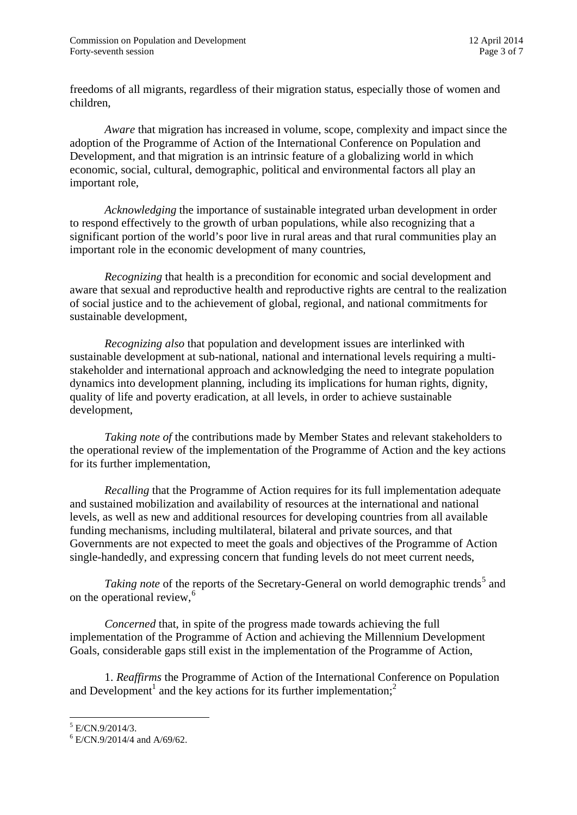freedoms of all migrants, regardless of their migration status, especially those of women and children,

*Aware* that migration has increased in volume, scope, complexity and impact since the adoption of the Programme of Action of the International Conference on Population and Development, and that migration is an intrinsic feature of a globalizing world in which economic, social, cultural, demographic, political and environmental factors all play an important role,

*Acknowledging* the importance of sustainable integrated urban development in order to respond effectively to the growth of urban populations, while also recognizing that a significant portion of the world's poor live in rural areas and that rural communities play an important role in the economic development of many countries,

*Recognizing* that health is a precondition for economic and social development and aware that sexual and reproductive health and reproductive rights are central to the realization of social justice and to the achievement of global, regional, and national commitments for sustainable development,

*Recognizing also* that population and development issues are interlinked with sustainable development at sub-national, national and international levels requiring a multistakeholder and international approach and acknowledging the need to integrate population dynamics into development planning, including its implications for human rights, dignity, quality of life and poverty eradication, at all levels, in order to achieve sustainable development,

*Taking note of* the contributions made by Member States and relevant stakeholders to the operational review of the implementation of the Programme of Action and the key actions for its further implementation,

*Recalling* that the Programme of Action requires for its full implementation adequate and sustained mobilization and availability of resources at the international and national levels, as well as new and additional resources for developing countries from all available funding mechanisms, including multilateral, bilateral and private sources, and that Governments are not expected to meet the goals and objectives of the Programme of Action single-handedly, and expressing concern that funding levels do not meet current needs,

*Taking note* of the reports of the Secretary-General on world demographic trends<sup>[5](#page-2-0)</sup> and on the operational review,<sup>[6](#page-2-1)</sup>

*Concerned* that, in spite of the progress made towards achieving the full implementation of the Programme of Action and achieving the Millennium Development Goals, considerable gaps still exist in the implementation of the Programme of Action,

1. *Reaffirms* the Programme of Action of the International Conference on Population and Development<sup>1</sup> and the key actions for its further implementation;<sup>2</sup>

<span id="page-2-0"></span> $5$  E/CN.9/2014/3.

<span id="page-2-1"></span> $6$  E/CN.9/2014/4 and A/69/62.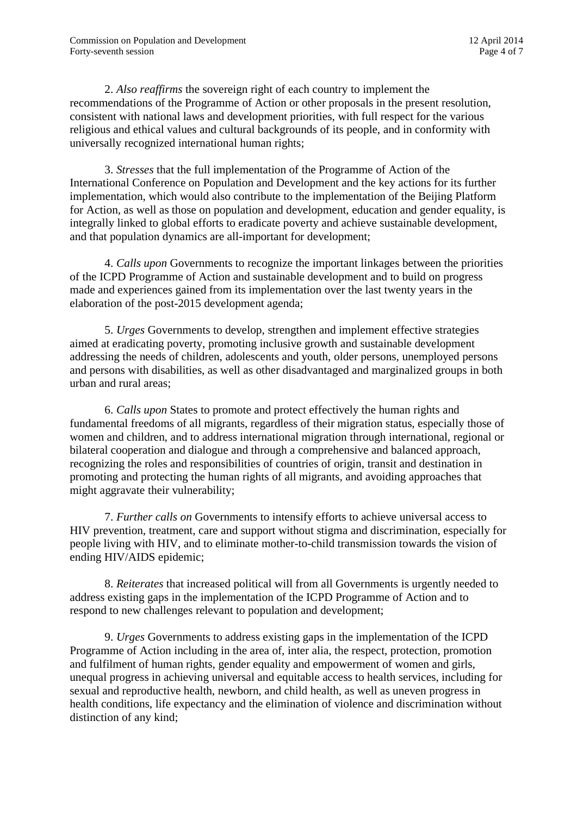2. *Also reaffirms* the sovereign right of each country to implement the recommendations of the Programme of Action or other proposals in the present resolution, consistent with national laws and development priorities, with full respect for the various religious and ethical values and cultural backgrounds of its people, and in conformity with universally recognized international human rights;

3. *Stresses* that the full implementation of the Programme of Action of the International Conference on Population and Development and the key actions for its further implementation, which would also contribute to the implementation of the Beijing Platform for Action, as well as those on population and development, education and gender equality, is integrally linked to global efforts to eradicate poverty and achieve sustainable development, and that population dynamics are all-important for development;

4. *Calls upon* Governments to recognize the important linkages between the priorities of the ICPD Programme of Action and sustainable development and to build on progress made and experiences gained from its implementation over the last twenty years in the elaboration of the post-2015 development agenda;

5. *Urges* Governments to develop, strengthen and implement effective strategies aimed at eradicating poverty, promoting inclusive growth and sustainable development addressing the needs of children, adolescents and youth, older persons, unemployed persons and persons with disabilities, as well as other disadvantaged and marginalized groups in both urban and rural areas;

6. *Calls upon* States to promote and protect effectively the human rights and fundamental freedoms of all migrants, regardless of their migration status, especially those of women and children, and to address international migration through international, regional or bilateral cooperation and dialogue and through a comprehensive and balanced approach, recognizing the roles and responsibilities of countries of origin, transit and destination in promoting and protecting the human rights of all migrants, and avoiding approaches that might aggravate their vulnerability;

7. *Further calls on* Governments to intensify efforts to achieve universal access to HIV prevention, treatment, care and support without stigma and discrimination, especially for people living with HIV, and to eliminate mother-to-child transmission towards the vision of ending HIV/AIDS epidemic;

8. *Reiterates* that increased political will from all Governments is urgently needed to address existing gaps in the implementation of the ICPD Programme of Action and to respond to new challenges relevant to population and development;

9. *Urges* Governments to address existing gaps in the implementation of the ICPD Programme of Action including in the area of, inter alia, the respect, protection, promotion and fulfilment of human rights, gender equality and empowerment of women and girls, unequal progress in achieving universal and equitable access to health services, including for sexual and reproductive health, newborn, and child health, as well as uneven progress in health conditions, life expectancy and the elimination of violence and discrimination without distinction of any kind;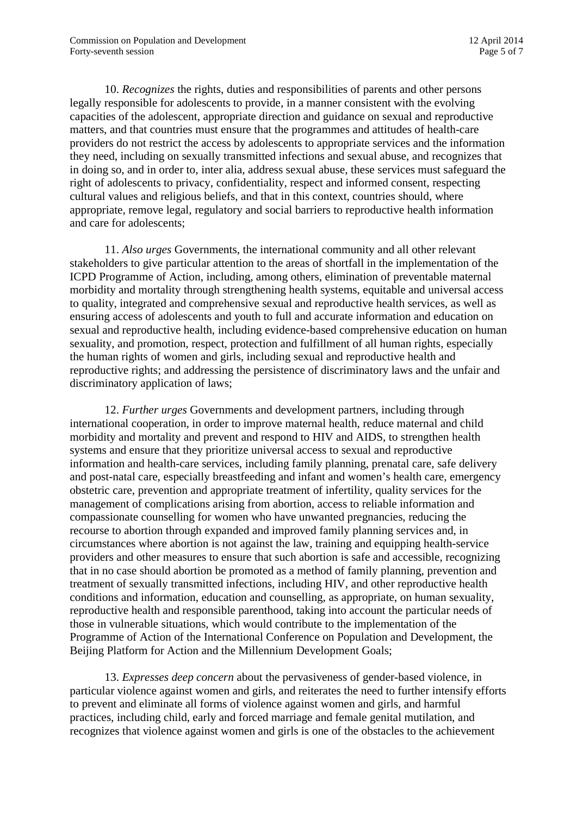10. *Recognizes* the rights, duties and responsibilities of parents and other persons legally responsible for adolescents to provide, in a manner consistent with the evolving capacities of the adolescent, appropriate direction and guidance on sexual and reproductive matters, and that countries must ensure that the programmes and attitudes of health-care providers do not restrict the access by adolescents to appropriate services and the information they need, including on sexually transmitted infections and sexual abuse, and recognizes that in doing so, and in order to, inter alia, address sexual abuse, these services must safeguard the right of adolescents to privacy, confidentiality, respect and informed consent, respecting cultural values and religious beliefs, and that in this context, countries should, where appropriate, remove legal, regulatory and social barriers to reproductive health information and care for adolescents;

11. *Also urges* Governments, the international community and all other relevant stakeholders to give particular attention to the areas of shortfall in the implementation of the ICPD Programme of Action, including, among others, elimination of preventable maternal morbidity and mortality through strengthening health systems, equitable and universal access to quality, integrated and comprehensive sexual and reproductive health services, as well as ensuring access of adolescents and youth to full and accurate information and education on sexual and reproductive health, including evidence-based comprehensive education on human sexuality, and promotion, respect, protection and fulfillment of all human rights, especially the human rights of women and girls, including sexual and reproductive health and reproductive rights; and addressing the persistence of discriminatory laws and the unfair and discriminatory application of laws;

12. *Further urges* Governments and development partners, including through international cooperation, in order to improve maternal health, reduce maternal and child morbidity and mortality and prevent and respond to HIV and AIDS, to strengthen health systems and ensure that they prioritize universal access to sexual and reproductive information and health-care services, including family planning, prenatal care, safe delivery and post-natal care, especially breastfeeding and infant and women's health care, emergency obstetric care, prevention and appropriate treatment of infertility, quality services for the management of complications arising from abortion, access to reliable information and compassionate counselling for women who have unwanted pregnancies, reducing the recourse to abortion through expanded and improved family planning services and, in circumstances where abortion is not against the law, training and equipping health-service providers and other measures to ensure that such abortion is safe and accessible, recognizing that in no case should abortion be promoted as a method of family planning, prevention and treatment of sexually transmitted infections, including HIV, and other reproductive health conditions and information, education and counselling, as appropriate, on human sexuality, reproductive health and responsible parenthood, taking into account the particular needs of those in vulnerable situations, which would contribute to the implementation of the Programme of Action of the International Conference on Population and Development, the Beijing Platform for Action and the Millennium Development Goals;

13. *Expresses deep concern* about the pervasiveness of gender-based violence, in particular violence against women and girls, and reiterates the need to further intensify efforts to prevent and eliminate all forms of violence against women and girls, and harmful practices, including child, early and forced marriage and female genital mutilation, and recognizes that violence against women and girls is one of the obstacles to the achievement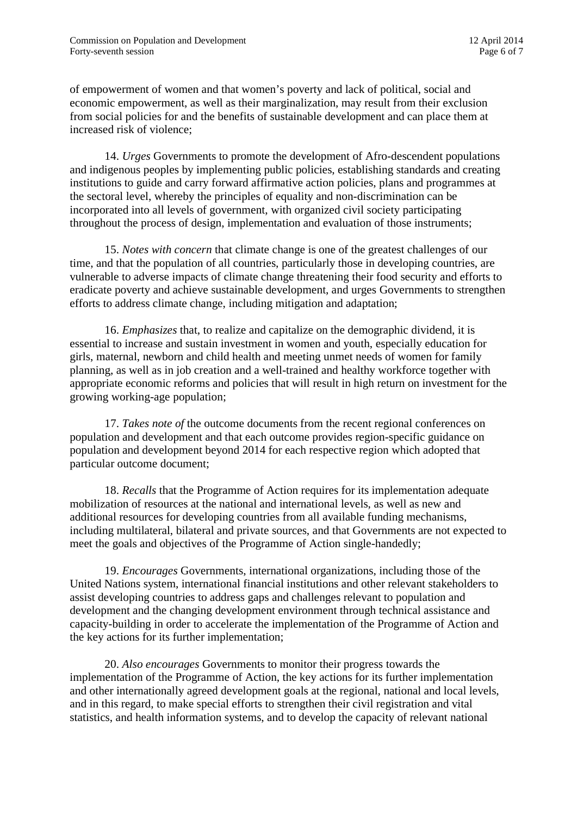of empowerment of women and that women's poverty and lack of political, social and economic empowerment, as well as their marginalization, may result from their exclusion from social policies for and the benefits of sustainable development and can place them at increased risk of violence;

14. *Urges* Governments to promote the development of Afro-descendent populations and indigenous peoples by implementing public policies, establishing standards and creating institutions to guide and carry forward affirmative action policies, plans and programmes at the sectoral level, whereby the principles of equality and non-discrimination can be incorporated into all levels of government, with organized civil society participating throughout the process of design, implementation and evaluation of those instruments;

15. *Notes with concern* that climate change is one of the greatest challenges of our time, and that the population of all countries, particularly those in developing countries, are vulnerable to adverse impacts of climate change threatening their food security and efforts to eradicate poverty and achieve sustainable development, and urges Governments to strengthen efforts to address climate change, including mitigation and adaptation;

16. *Emphasizes* that, to realize and capitalize on the demographic dividend, it is essential to increase and sustain investment in women and youth, especially education for girls, maternal, newborn and child health and meeting unmet needs of women for family planning, as well as in job creation and a well-trained and healthy workforce together with appropriate economic reforms and policies that will result in high return on investment for the growing working-age population;

17. *Takes note of* the outcome documents from the recent regional conferences on population and development and that each outcome provides region-specific guidance on population and development beyond 2014 for each respective region which adopted that particular outcome document;

18. *Recalls* that the Programme of Action requires for its implementation adequate mobilization of resources at the national and international levels, as well as new and additional resources for developing countries from all available funding mechanisms, including multilateral, bilateral and private sources, and that Governments are not expected to meet the goals and objectives of the Programme of Action single-handedly;

19. *Encourages* Governments, international organizations, including those of the United Nations system, international financial institutions and other relevant stakeholders to assist developing countries to address gaps and challenges relevant to population and development and the changing development environment through technical assistance and capacity-building in order to accelerate the implementation of the Programme of Action and the key actions for its further implementation;

20. *Also encourages* Governments to monitor their progress towards the implementation of the Programme of Action, the key actions for its further implementation and other internationally agreed development goals at the regional, national and local levels, and in this regard, to make special efforts to strengthen their civil registration and vital statistics, and health information systems, and to develop the capacity of relevant national